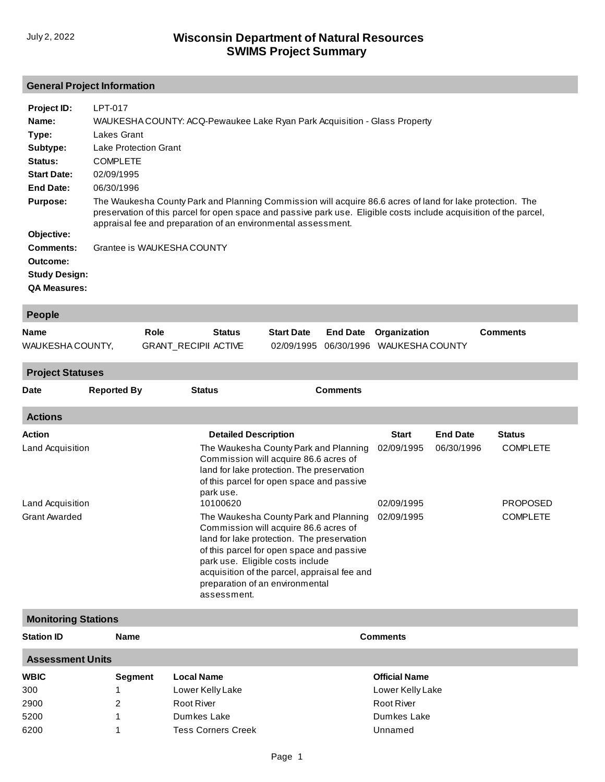# **General Project Information**

| Project ID:          | LPT-017                                                                                                                                                                                                                                                                                          |
|----------------------|--------------------------------------------------------------------------------------------------------------------------------------------------------------------------------------------------------------------------------------------------------------------------------------------------|
| Name:                | WAUKESHA COUNTY: ACQ-Pewaukee Lake Ryan Park Acquisition - Glass Property                                                                                                                                                                                                                        |
| Type:                | Lakes Grant                                                                                                                                                                                                                                                                                      |
| Subtype:             | Lake Protection Grant                                                                                                                                                                                                                                                                            |
| Status:              | <b>COMPLETE</b>                                                                                                                                                                                                                                                                                  |
| <b>Start Date:</b>   | 02/09/1995                                                                                                                                                                                                                                                                                       |
| End Date:            | 06/30/1996                                                                                                                                                                                                                                                                                       |
| <b>Purpose:</b>      | The Waukesha County Park and Planning Commission will acquire 86.6 acres of land for lake protection. The<br>preservation of this parcel for open space and passive park use. Eligible costs include acquisition of the parcel,<br>appraisal fee and preparation of an environmental assessment. |
| Objective:           |                                                                                                                                                                                                                                                                                                  |
| Comments:            | Grantee is WAUKESHA COUNTY                                                                                                                                                                                                                                                                       |
| Outcome:             |                                                                                                                                                                                                                                                                                                  |
| <b>Study Design:</b> |                                                                                                                                                                                                                                                                                                  |
| <b>QA Measures:</b>  |                                                                                                                                                                                                                                                                                                  |

| <b>People</b>    |                      |               |                   |  |                                       |                 |  |  |
|------------------|----------------------|---------------|-------------------|--|---------------------------------------|-----------------|--|--|
| <b>Name</b>      | Role                 | <b>Status</b> | <b>Start Date</b> |  | <b>End Date</b> Organization          | <b>Comments</b> |  |  |
| WAUKESHA COUNTY, | GRANT RECIPII ACTIVE |               |                   |  | 02/09/1995 06/30/1996 WAUKESHA COUNTY |                 |  |  |
|                  |                      |               |                   |  |                                       |                 |  |  |

**Project Statuses**

| <b>Date</b>          | <b>Reported By</b> | <b>Status</b>                                                                                                                                                                                                                                                                                                   | <b>Comments</b> |                 |                 |
|----------------------|--------------------|-----------------------------------------------------------------------------------------------------------------------------------------------------------------------------------------------------------------------------------------------------------------------------------------------------------------|-----------------|-----------------|-----------------|
| <b>Actions</b>       |                    |                                                                                                                                                                                                                                                                                                                 |                 |                 |                 |
| <b>Action</b>        |                    | <b>Detailed Description</b>                                                                                                                                                                                                                                                                                     | <b>Start</b>    | <b>End Date</b> | <b>Status</b>   |
| Land Acquisition     |                    | The Waukesha County Park and Planning<br>Commission will acquire 86.6 acres of<br>land for lake protection. The preservation<br>of this parcel for open space and passive<br>park use.                                                                                                                          | 02/09/1995      | 06/30/1996      | <b>COMPLETE</b> |
| Land Acquisition     |                    | 10100620                                                                                                                                                                                                                                                                                                        | 02/09/1995      |                 | <b>PROPOSED</b> |
| <b>Grant Awarded</b> |                    | The Waukesha County Park and Planning<br>Commission will acquire 86.6 acres of<br>land for lake protection. The preservation<br>of this parcel for open space and passive<br>park use. Eligible costs include<br>acquisition of the parcel, appraisal fee and<br>preparation of an environmental<br>assessment. | 02/09/1995      |                 | <b>COMPLETE</b> |

| <b>Monitoring Stations</b> |             |                           |                      |  |  |  |  |
|----------------------------|-------------|---------------------------|----------------------|--|--|--|--|
| <b>Station ID</b>          | <b>Name</b> |                           | <b>Comments</b>      |  |  |  |  |
| <b>Assessment Units</b>    |             |                           |                      |  |  |  |  |
| <b>WBIC</b>                | Segment     | <b>Local Name</b>         | <b>Official Name</b> |  |  |  |  |
| 300                        |             | Lower Kelly Lake          | Lower Kelly Lake     |  |  |  |  |
| 2900                       | 2           | Root River                | <b>Root River</b>    |  |  |  |  |
| 5200                       |             | Dumkes Lake               | Dumkes Lake          |  |  |  |  |
| 6200                       |             | <b>Tess Corners Creek</b> | Unnamed              |  |  |  |  |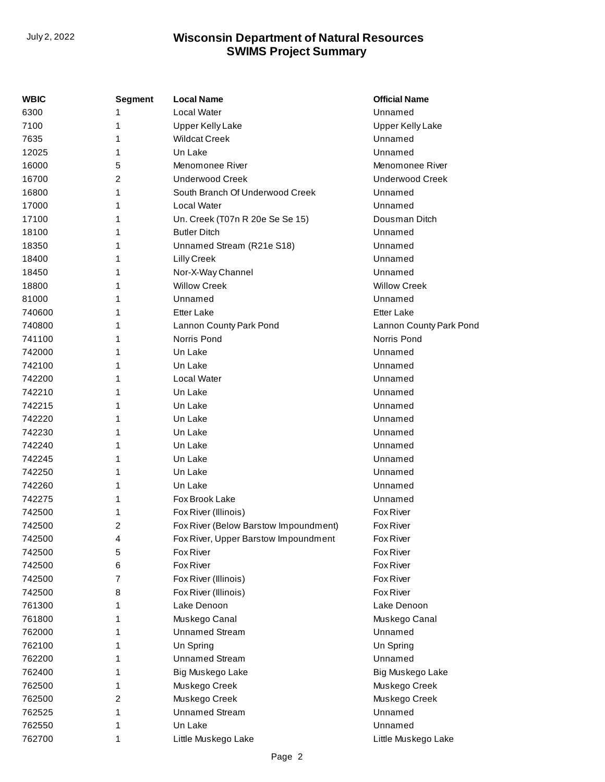| WBIC   | <b>Segment</b> | <b>Local Name</b>                     | <b>Official Name</b>    |
|--------|----------------|---------------------------------------|-------------------------|
| 6300   | 1              | Local Water                           | Unnamed                 |
| 7100   | 1              | <b>Upper Kelly Lake</b>               | <b>Upper Kelly Lake</b> |
| 7635   | 1              | <b>Wildcat Creek</b>                  | Unnamed                 |
| 12025  | 1              | Un Lake                               | Unnamed                 |
| 16000  | 5              | Menomonee River                       | Menomonee River         |
| 16700  | $\overline{2}$ | <b>Underwood Creek</b>                | <b>Underwood Creek</b>  |
| 16800  | 1              | South Branch Of Underwood Creek       | Unnamed                 |
| 17000  | 1              | Local Water                           | Unnamed                 |
| 17100  | 1              | Un. Creek (T07n R 20e Se Se 15)       | Dousman Ditch           |
| 18100  | 1              | <b>Butler Ditch</b>                   | Unnamed                 |
| 18350  | 1              | Unnamed Stream (R21e S18)             | Unnamed                 |
| 18400  | 1              | Lilly Creek                           | Unnamed                 |
| 18450  | 1              | Nor-X-Way Channel                     | Unnamed                 |
| 18800  | 1              | <b>Willow Creek</b>                   | <b>Willow Creek</b>     |
| 81000  | 1              | Unnamed                               | Unnamed                 |
| 740600 | 1              | <b>Etter Lake</b>                     | <b>Etter Lake</b>       |
| 740800 | 1              | Lannon County Park Pond               | Lannon County Park Pond |
| 741100 | 1              | Norris Pond                           | Norris Pond             |
| 742000 | 1              | Un Lake                               | Unnamed                 |
| 742100 | 1              | Un Lake                               | Unnamed                 |
| 742200 | 1              | Local Water                           | Unnamed                 |
| 742210 | 1              | Un Lake                               | Unnamed                 |
| 742215 | 1              | Un Lake                               | Unnamed                 |
| 742220 | 1              | Un Lake                               | Unnamed                 |
| 742230 | 1              | Un Lake                               | Unnamed                 |
| 742240 | 1              | Un Lake                               | Unnamed                 |
| 742245 | 1              | Un Lake                               | Unnamed                 |
| 742250 | 1              | Un Lake                               | Unnamed                 |
| 742260 | 1              | Un Lake                               | Unnamed                 |
| 742275 | 1              | Fox Brook Lake                        | Unnamed                 |
| 742500 | 1              | Fox River (Illinois)                  | Fox River               |
| 742500 | 2              | Fox River (Below Barstow Impoundment) | Fox River               |
| 742500 | 4              | Fox River, Upper Barstow Impoundment  | Fox River               |
| 742500 | 5              | Fox River                             | Fox River               |
| 742500 | 6              | Fox River                             | Fox River               |
| 742500 | 7              | Fox River (Illinois)                  | Fox River               |
| 742500 | 8              | Fox River (Illinois)                  | Fox River               |
| 761300 | 1              | Lake Denoon                           | Lake Denoon             |
| 761800 | 1              | Muskego Canal                         | Muskego Canal           |
| 762000 | 1              | <b>Unnamed Stream</b>                 | Unnamed                 |
| 762100 | 1              | Un Spring                             | Un Spring               |
| 762200 | 1              | <b>Unnamed Stream</b>                 | Unnamed                 |
| 762400 | 1              | Big Muskego Lake                      | Big Muskego Lake        |
| 762500 | 1              | Muskego Creek                         | Muskego Creek           |
| 762500 | 2              | Muskego Creek                         | Muskego Creek           |
| 762525 | 1              | <b>Unnamed Stream</b>                 | Unnamed                 |
| 762550 | 1              | Un Lake                               | Unnamed                 |
| 762700 | 1              | Little Muskego Lake                   | Little Muskego Lake     |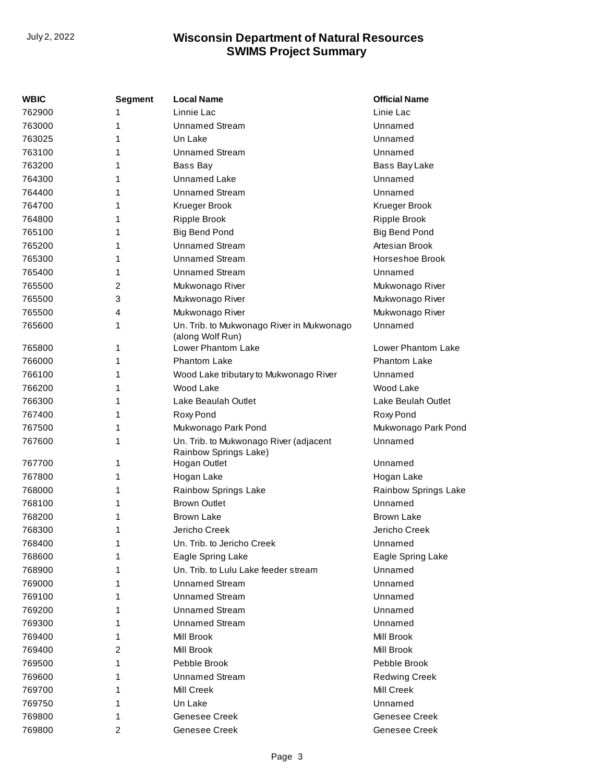| WBIC   | <b>Segment</b> | <b>Local Name</b>                                               | <b>Official Name</b> |
|--------|----------------|-----------------------------------------------------------------|----------------------|
| 762900 | 1              | Linnie Lac                                                      | Linie Lac            |
| 763000 | 1              | <b>Unnamed Stream</b>                                           | Unnamed              |
| 763025 | 1              | Un Lake                                                         | Unnamed              |
| 763100 | 1              | Unnamed Stream                                                  | Unnamed              |
| 763200 | 1              | Bass Bay                                                        | Bass Bay Lake        |
| 764300 | 1              | Unnamed Lake                                                    | Unnamed              |
| 764400 | 1              | <b>Unnamed Stream</b>                                           | Unnamed              |
| 764700 | 1              | Krueger Brook                                                   | Krueger Brook        |
| 764800 | 1              | Ripple Brook                                                    | <b>Ripple Brook</b>  |
| 765100 | 1              | <b>Big Bend Pond</b>                                            | <b>Big Bend Pond</b> |
| 765200 | 1              | <b>Unnamed Stream</b>                                           | Artesian Brook       |
| 765300 | 1              | <b>Unnamed Stream</b>                                           | Horseshoe Brook      |
| 765400 | 1              | <b>Unnamed Stream</b>                                           | Unnamed              |
| 765500 | 2              | Mukwonago River                                                 | Mukwonago River      |
| 765500 | 3              | Mukwonago River                                                 | Mukwonago River      |
| 765500 | 4              | Mukwonago River                                                 | Mukwonago River      |
| 765600 | 1              | Un. Trib. to Mukwonago River in Mukwonago<br>(along Wolf Run)   | Unnamed              |
| 765800 | 1              | Lower Phantom Lake                                              | Lower Phantom Lake   |
| 766000 | 1              | <b>Phantom Lake</b>                                             | <b>Phantom Lake</b>  |
| 766100 | 1              | Wood Lake tributary to Mukwonago River                          | Unnamed              |
| 766200 | 1              | Wood Lake                                                       | Wood Lake            |
| 766300 | 1              | Lake Beaulah Outlet                                             | Lake Beulah Outlet   |
| 767400 | 1              | Roxy Pond                                                       | Roxy Pond            |
| 767500 | 1              | Mukwonago Park Pond                                             | Mukwonago Park Pond  |
| 767600 | 1              | Un. Trib. to Mukwonago River (adjacent<br>Rainbow Springs Lake) | Unnamed              |
| 767700 | 1              | Hogan Outlet                                                    | Unnamed              |
| 767800 | 1              | Hogan Lake                                                      | Hogan Lake           |
| 768000 | 1              | Rainbow Springs Lake                                            | Rainbow Springs Lake |
| 768100 | 1              | <b>Brown Outlet</b>                                             | Unnamed              |
| 768200 | 1              | <b>Brown Lake</b>                                               | <b>Brown Lake</b>    |
| 768300 | 1              | Jericho Creek                                                   | Jericho Creek        |
| 768400 | 1              | Un. Trib. to Jericho Creek                                      | Unnamed              |
| 768600 | 1              | Eagle Spring Lake                                               | Eagle Spring Lake    |
| 768900 | 1              | Un. Trib. to Lulu Lake feeder stream                            | Unnamed              |
| 769000 | 1              | <b>Unnamed Stream</b>                                           | Unnamed              |
| 769100 | 1              | <b>Unnamed Stream</b>                                           | Unnamed              |
| 769200 | 1              | <b>Unnamed Stream</b>                                           | Unnamed              |
| 769300 | 1              | <b>Unnamed Stream</b>                                           | Unnamed              |
| 769400 | 1              | Mill Brook                                                      | Mill Brook           |
| 769400 | 2              | Mill Brook                                                      | Mill Brook           |
| 769500 | 1              | Pebble Brook                                                    | Pebble Brook         |
| 769600 | 1              | <b>Unnamed Stream</b>                                           | <b>Redwing Creek</b> |
| 769700 | 1              | Mill Creek                                                      | Mill Creek           |
| 769750 | 1              | Un Lake                                                         | Unnamed              |
| 769800 | 1              | Genesee Creek                                                   | Genesee Creek        |
| 769800 | 2              | Genesee Creek                                                   | Genesee Creek        |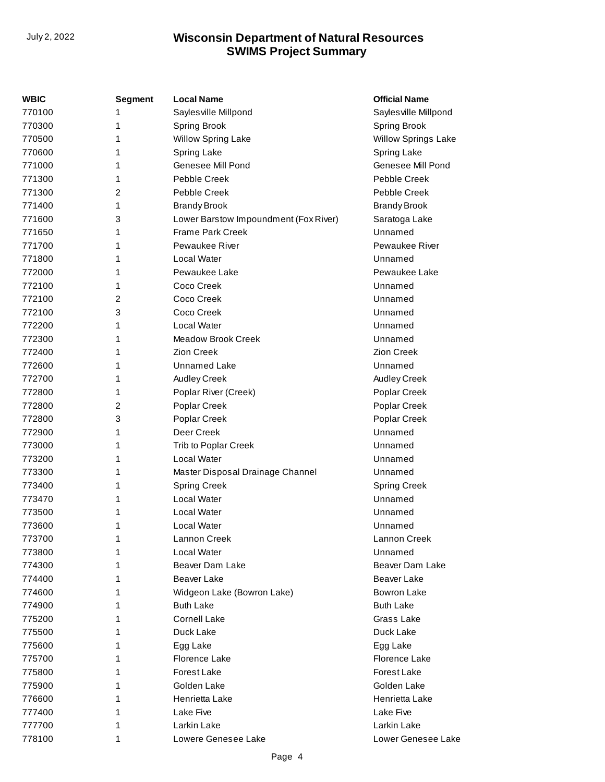| WBIC   | Segment | <b>Local Name</b>                     | <b>Official Name</b>       |
|--------|---------|---------------------------------------|----------------------------|
| 770100 | 1       | Sayles ville Millpond                 | Saylesville Millpond       |
| 770300 | 1       | Spring Brook                          | <b>Spring Brook</b>        |
| 770500 | 1       | Willow Spring Lake                    | <b>Willow Springs Lake</b> |
| 770600 | 1       | Spring Lake                           | Spring Lake                |
| 771000 | 1       | Genesee Mill Pond                     | Genesee Mill Pond          |
| 771300 | 1       | Pebble Creek                          | Pebble Creek               |
| 771300 | 2       | Pebble Creek                          | Pebble Creek               |
| 771400 | 1       | <b>Brandy Brook</b>                   | <b>Brandy Brook</b>        |
| 771600 | 3       | Lower Barstow Impoundment (Fox River) | Saratoga Lake              |
| 771650 | 1       | <b>Frame Park Creek</b>               | Unnamed                    |
| 771700 | 1       | Pewaukee River                        | <b>Pewaukee River</b>      |
| 771800 | 1       | Local Water                           | Unnamed                    |
| 772000 | 1       | Pewaukee Lake                         | Pewaukee Lake              |
| 772100 | 1       | Coco Creek                            | Unnamed                    |
| 772100 | 2       | Coco Creek                            | Unnamed                    |
| 772100 | 3       | Coco Creek                            | Unnamed                    |
| 772200 | 1       | Local Water                           | Unnamed                    |
| 772300 | 1       | <b>Meadow Brook Creek</b>             | Unnamed                    |
| 772400 | 1       | Zion Creek                            | Zion Creek                 |
| 772600 | 1       | <b>Unnamed Lake</b>                   | Unnamed                    |
| 772700 | 1       | Audley Creek                          | Audley Creek               |
| 772800 | 1       | Poplar River (Creek)                  | Poplar Creek               |
| 772800 | 2       | Poplar Creek                          | Poplar Creek               |
| 772800 | 3       | Poplar Creek                          | Poplar Creek               |
| 772900 | 1       | Deer Creek                            | Unnamed                    |
| 773000 | 1       | Trib to Poplar Creek                  | Unnamed                    |
| 773200 | 1       | Local Water                           | Unnamed                    |
| 773300 | 1       | Master Disposal Drainage Channel      | Unnamed                    |
| 773400 | 1       | <b>Spring Creek</b>                   | <b>Spring Creek</b>        |
| 773470 | 1       | Local Water                           | Unnamed                    |
| 773500 | 1       | Local Water                           | Unnamed                    |
| 773600 | 1       | Local Water                           | Unnamed                    |
| 773700 | 1       | Lannon Creek                          | Lannon Creek               |
| 773800 | 1       | Local Water                           | Unnamed                    |
| 774300 | 1       | Beaver Dam Lake                       | Beaver Dam Lake            |
| 774400 | 1       | <b>Beaver Lake</b>                    | Beaver Lake                |
| 774600 | 1       | Widgeon Lake (Bowron Lake)            | Bowron Lake                |
| 774900 | 1       | <b>Buth Lake</b>                      | <b>Buth Lake</b>           |
| 775200 | 1       | <b>Cornell Lake</b>                   | Grass Lake                 |
| 775500 | 1       | Duck Lake                             | Duck Lake                  |
| 775600 | 1       | Egg Lake                              | Egg Lake                   |
| 775700 | 1       | Florence Lake                         | Florence Lake              |
| 775800 | 1       | Forest Lake                           | Forest Lake                |
| 775900 | 1       | Golden Lake                           | Golden Lake                |
| 776600 | 1       | Henrietta Lake                        | Henrietta Lake             |
| 777400 | 1       | Lake Five                             | Lake Five                  |
| 777700 | 1       | Larkin Lake                           | Larkin Lake                |
| 778100 | 1       | Lowere Genesee Lake                   | Lower Genesee Lake         |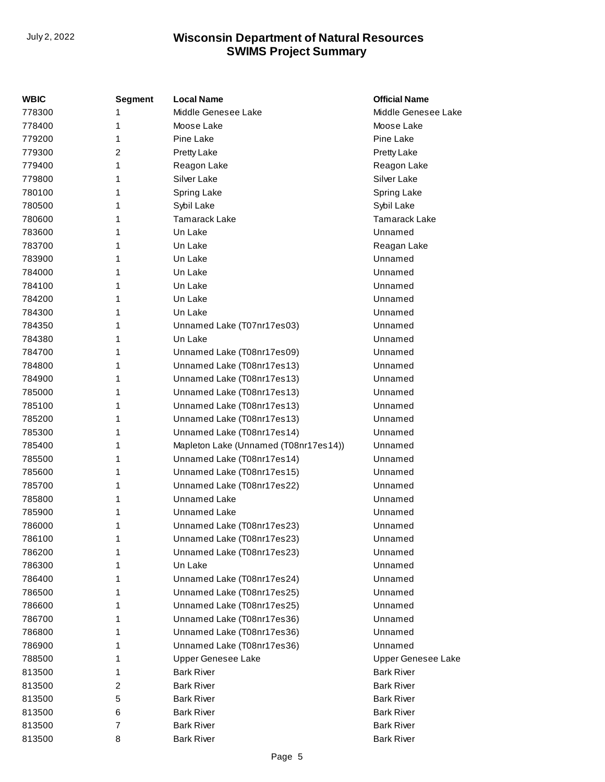| WBIC   | <b>Segment</b> | <b>Local Name</b>                     | <b>Official Name</b> |
|--------|----------------|---------------------------------------|----------------------|
| 778300 | 1              | Middle Genesee Lake                   | Middle Genesee Lake  |
| 778400 | 1              | Moose Lake                            | Moose Lake           |
| 779200 | 1              | Pine Lake                             | Pine Lake            |
| 779300 | 2              | Pretty Lake                           | Pretty Lake          |
| 779400 | 1              | Reagon Lake                           | Reagon Lake          |
| 779800 | 1              | Silver Lake                           | Silver Lake          |
| 780100 | 1              | Spring Lake                           | Spring Lake          |
| 780500 | 1              | Sybil Lake                            | Sybil Lake           |
| 780600 | 1              | <b>Tamarack Lake</b>                  | <b>Tamarack Lake</b> |
| 783600 | 1              | Un Lake                               | Unnamed              |
| 783700 | 1              | Un Lake                               | Reagan Lake          |
| 783900 | 1              | Un Lake                               | Unnamed              |
| 784000 | 1              | Un Lake                               | Unnamed              |
| 784100 | 1              | Un Lake                               | Unnamed              |
| 784200 | 1              | Un Lake                               | Unnamed              |
| 784300 | 1              | Un Lake                               | Unnamed              |
| 784350 | 1              | Unnamed Lake (T07nr17es03)            | Unnamed              |
| 784380 | 1              | Un Lake                               | Unnamed              |
| 784700 | 1              | Unnamed Lake (T08nr17es09)            | Unnamed              |
| 784800 | 1              | Unnamed Lake (T08nr17es13)            | Unnamed              |
| 784900 | 1              | Unnamed Lake (T08nr17es13)            | Unnamed              |
| 785000 | 1              | Unnamed Lake (T08nr17es13)            | Unnamed              |
| 785100 | 1              | Unnamed Lake (T08nr17es13)            | Unnamed              |
| 785200 | 1              | Unnamed Lake (T08nr17es13)            | Unnamed              |
| 785300 | 1              | Unnamed Lake (T08nr17es14)            | Unnamed              |
| 785400 | 1              | Mapleton Lake (Unnamed (T08nr17es14)) | Unnamed              |
| 785500 | 1              | Unnamed Lake (T08nr17es14)            | Unnamed              |
| 785600 | 1              | Unnamed Lake (T08nr17es15)            | Unnamed              |
| 785700 | 1              | Unnamed Lake (T08nr17es22)            | Unnamed              |
| 785800 | 1              | <b>Unnamed Lake</b>                   | Unnamed              |
| 785900 | 1              | Unnamed Lake                          | Unnamed              |
| 786000 | 1              | Unnamed Lake (T08nr17es23)            | Unnamed              |
| 786100 | 1              | Unnamed Lake (T08nr17es23)            | Unnamed              |
| 786200 | 1              | Unnamed Lake (T08nr17es23)            | Unnamed              |
| 786300 | 1              | Un Lake                               | Unnamed              |
| 786400 | 1              | Unnamed Lake (T08nr17es24)            | Unnamed              |
| 786500 | 1              | Unnamed Lake (T08nr17es25)            | Unnamed              |
| 786600 | 1              | Unnamed Lake (T08nr17es25)            | Unnamed              |
| 786700 | 1              | Unnamed Lake (T08nr17es36)            | Unnamed              |
| 786800 | 1              | Unnamed Lake (T08nr17es36)            | Unnamed              |
| 786900 | 1              | Unnamed Lake (T08nr17es36)            | Unnamed              |
| 788500 | 1              | <b>Upper Genesee Lake</b>             | Upper Genesee Lake   |
| 813500 | 1              | <b>Bark River</b>                     | <b>Bark River</b>    |
| 813500 | 2              | <b>Bark River</b>                     | <b>Bark River</b>    |
| 813500 | 5              | <b>Bark River</b>                     | <b>Bark River</b>    |
| 813500 | 6              | <b>Bark River</b>                     | <b>Bark River</b>    |
| 813500 | 7              | <b>Bark River</b>                     | <b>Bark River</b>    |
| 813500 | 8              | <b>Bark River</b>                     | <b>Bark River</b>    |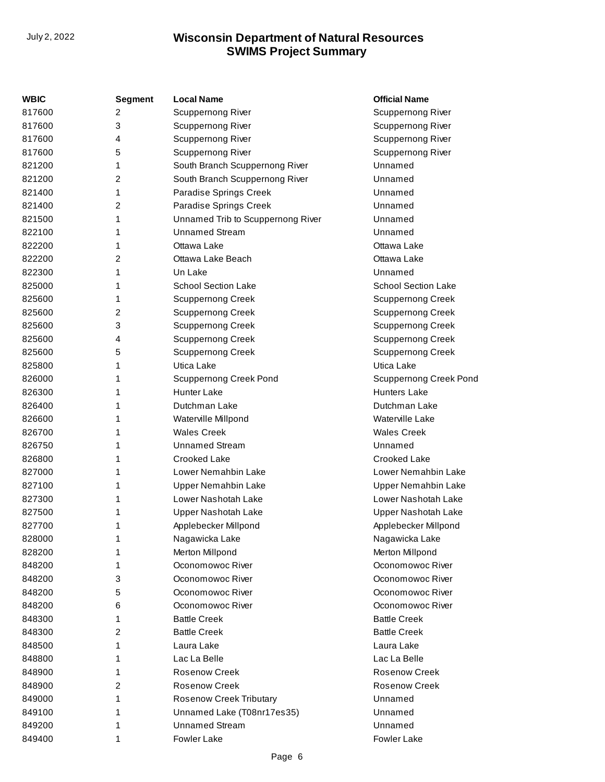| WBIC   | <b>Segment</b> | <b>Local Name</b>                 | <b>Official Name</b>          |
|--------|----------------|-----------------------------------|-------------------------------|
| 817600 | 2              | Scuppernong River                 | <b>Scuppernong River</b>      |
| 817600 | 3              | <b>Scuppernong River</b>          | Scuppernong River             |
| 817600 | 4              | Scuppernong River                 | Scuppernong River             |
| 817600 | 5              | Scuppernong River                 | <b>Scuppernong River</b>      |
| 821200 | 1              | South Branch Scuppernong River    | Unnamed                       |
| 821200 | 2              | South Branch Scuppernong River    | Unnamed                       |
| 821400 | 1              | Paradise Springs Creek            | Unnamed                       |
| 821400 | 2              | Paradise Springs Creek            | Unnamed                       |
| 821500 | 1              | Unnamed Trib to Scuppernong River | Unnamed                       |
| 822100 | 1              | <b>Unnamed Stream</b>             | Unnamed                       |
| 822200 | 1              | Ottawa Lake                       | Ottawa Lake                   |
| 822200 | 2              | Ottawa Lake Beach                 | Ottawa Lake                   |
| 822300 | 1              | Un Lake                           | Unnamed                       |
| 825000 | 1              | <b>School Section Lake</b>        | <b>School Section Lake</b>    |
| 825600 | 1              | <b>Scuppernong Creek</b>          | <b>Scuppernong Creek</b>      |
| 825600 | 2              | <b>Scuppernong Creek</b>          | <b>Scuppernong Creek</b>      |
| 825600 | 3              | <b>Scuppernong Creek</b>          | <b>Scuppernong Creek</b>      |
| 825600 | 4              | <b>Scuppernong Creek</b>          | <b>Scuppernong Creek</b>      |
| 825600 | 5              | <b>Scuppernong Creek</b>          | <b>Scuppernong Creek</b>      |
| 825800 | 1              | Utica Lake                        | Utica Lake                    |
| 826000 | 1              | <b>Scuppernong Creek Pond</b>     | <b>Scuppernong Creek Pond</b> |
| 826300 | 1              | <b>Hunter Lake</b>                | <b>Hunters Lake</b>           |
| 826400 | 1              | Dutchman Lake                     | Dutchman Lake                 |
| 826600 | 1              | Waterville Millpond               | Waterville Lake               |
| 826700 | 1              | <b>Wales Creek</b>                | <b>Wales Creek</b>            |
| 826750 | 1              | <b>Unnamed Stream</b>             | Unnamed                       |
| 826800 | 1              | Crooked Lake                      | Crooked Lake                  |
| 827000 | 1              | Lower Nemahbin Lake               | Lower Nemahbin Lake           |
| 827100 | 1              | Upper Nemahbin Lake               | Upper Nemahbin Lake           |
| 827300 | 1              | Lower Nashotah Lake               | Lower Nashotah Lake           |
| 827500 | 1              | Upper Nashotah Lake               | Upper Nashotah Lake           |
| 827700 | 1              | Applebecker Millpond              | Applebecker Millpond          |
| 828000 | 1              | Nagawicka Lake                    | Nagawicka Lake                |
| 828200 | 1              | Merton Millpond                   | Merton Millpond               |
| 848200 | 1              | Oconomowoc River                  | Oconomowoc River              |
| 848200 | 3              | Oconomowoc River                  | Oconomowoc River              |
| 848200 | 5              | Oconomowoc River                  | Oconomowoc River              |
| 848200 | 6              | Oconomowoc River                  | Oconomowoc River              |
| 848300 | 1              | <b>Battle Creek</b>               | <b>Battle Creek</b>           |
| 848300 | 2              | <b>Battle Creek</b>               | <b>Battle Creek</b>           |
| 848500 | 1              | Laura Lake                        | Laura Lake                    |
| 848800 | 1              | Lac La Belle                      | Lac La Belle                  |
| 848900 | 1              | <b>Rosenow Creek</b>              | <b>Rosenow Creek</b>          |
| 848900 | 2              | <b>Rosenow Creek</b>              | <b>Rosenow Creek</b>          |
| 849000 | 1              | <b>Rosenow Creek Tributary</b>    | Unnamed                       |
| 849100 | 1              | Unnamed Lake (T08nr17es35)        | Unnamed                       |
| 849200 | 1              | <b>Unnamed Stream</b>             | Unnamed                       |
| 849400 | 1              | Fowler Lake                       | Fowler Lake                   |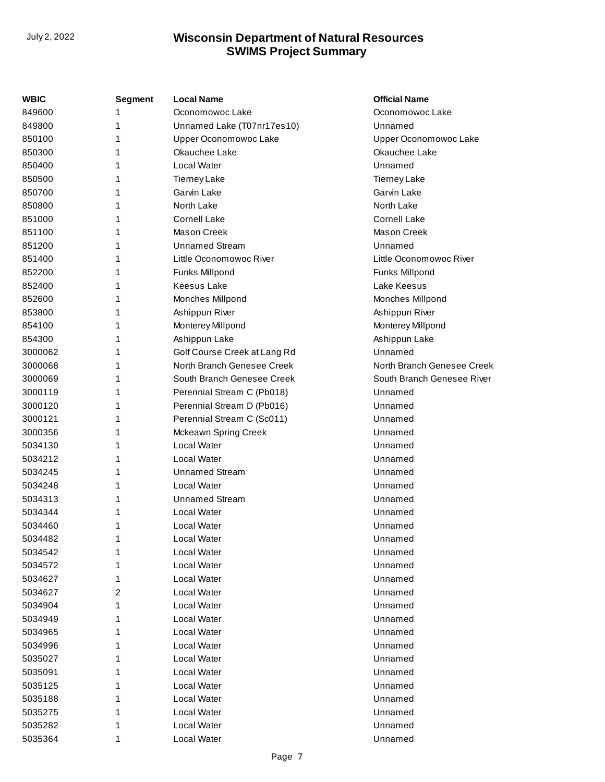| WBIC    | <b>Segment</b> | <b>Local Name</b>            | <b>Official Name</b>       |
|---------|----------------|------------------------------|----------------------------|
| 849600  |                | Oconomowoc Lake              | Oconomowoc Lake            |
| 849800  | 1              | Unnamed Lake (T07nr17es10)   | Unnamed                    |
| 850100  | 1              | Upper Oconomowoc Lake        | Upper Oconomowoc Lake      |
| 850300  | 1              | Okauchee Lake                | Okauchee Lake              |
| 850400  | 1              | Local Water                  | Unnamed                    |
| 850500  | 1              | <b>Tierney Lake</b>          | <b>Tierney Lake</b>        |
| 850700  |                | Garvin Lake                  | Garvin Lake                |
| 850800  |                | North Lake                   | North Lake                 |
| 851000  |                | <b>Cornell Lake</b>          | <b>Cornell Lake</b>        |
| 851100  | 1              | <b>Mason Creek</b>           | <b>Mason Creek</b>         |
| 851200  |                | <b>Unnamed Stream</b>        | Unnamed                    |
| 851400  | 1              | Little Oconomowoc River      | Little Oconomowoc River    |
| 852200  | 1              | Funks Millpond               | Funks Millpond             |
| 852400  | 1              | <b>Keesus Lake</b>           | Lake Keesus                |
| 852600  |                | Monches Millpond             | Monches Millpond           |
| 853800  |                | Ashippun River               | Ashippun River             |
| 854100  | 1              | Monterey Millpond            | Monterey Millpond          |
| 854300  | 1              | Ashippun Lake                | Ashippun Lake              |
| 3000062 | 1              | Golf Course Creek at Lang Rd | Unnamed                    |
| 3000068 | 1              | North Branch Genesee Creek   | North Branch Genesee Creek |
| 3000069 | 1              | South Branch Genesee Creek   | South Branch Genesee River |
| 3000119 | 1              | Perennial Stream C (Pb018)   | Unnamed                    |
| 3000120 | 1              | Perennial Stream D (Pb016)   | Unnamed                    |
| 3000121 | 1              | Perennial Stream C (Sc011)   | Unnamed                    |
| 3000356 | 1              | Mckeawn Spring Creek         | Unnamed                    |
| 5034130 | 1              | <b>Local Water</b>           | Unnamed                    |
| 5034212 | 1              | Local Water                  | Unnamed                    |
| 5034245 | 1              | <b>Unnamed Stream</b>        | Unnamed                    |
| 5034248 | 1              | Local Water                  | Unnamed                    |
| 5034313 | 1              | <b>Unnamed Stream</b>        | Unnamed                    |
| 5034344 |                | <b>Local Water</b>           | Unnamed                    |
| 5034460 | 1              | Local Water                  | Unnamed                    |
| 5034482 | 1              | <b>Local Water</b>           | Unnamed                    |
| 5034542 | 1              | Local Water                  | Unnamed                    |
| 5034572 |                | <b>Local Water</b>           | Unnamed                    |
| 5034627 | 1              | <b>Local Water</b>           | Unnamed                    |
| 5034627 | 2              | Local Water                  | Unnamed                    |
| 5034904 | 1              | <b>Local Water</b>           | Unnamed                    |
| 5034949 |                | <b>Local Water</b>           | Unnamed                    |
| 5034965 |                | <b>Local Water</b>           | Unnamed                    |
| 5034996 |                | <b>Local Water</b>           | Unnamed                    |
| 5035027 |                | <b>Local Water</b>           | Unnamed                    |
| 5035091 |                | <b>Local Water</b>           | Unnamed                    |
| 5035125 |                | <b>Local Water</b>           | Unnamed                    |
| 5035188 |                | Local Water                  | Unnamed                    |
| 5035275 | 1              | <b>Local Water</b>           | Unnamed                    |
| 5035282 |                | <b>Local Water</b>           | Unnamed                    |
| 5035364 | 1              | Local Water                  | Unnamed                    |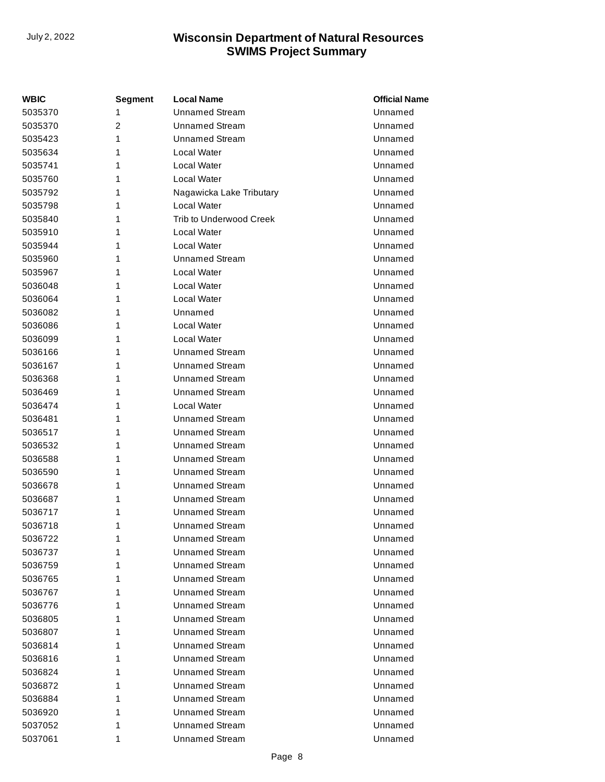| <b>WBIC</b> | Segment        | <b>Local Name</b>              | <b>Official Name</b> |
|-------------|----------------|--------------------------------|----------------------|
| 5035370     | 1              | <b>Unnamed Stream</b>          | Unnamed              |
| 5035370     | $\overline{2}$ | <b>Unnamed Stream</b>          | Unnamed              |
| 5035423     | 1              | <b>Unnamed Stream</b>          | Unnamed              |
| 5035634     | 1              | Local Water                    | Unnamed              |
| 5035741     | 1              | Local Water                    | Unnamed              |
| 5035760     | 1              | Local Water                    | Unnamed              |
| 5035792     | 1              | Nagawicka Lake Tributary       | Unnamed              |
| 5035798     | 1              | Local Water                    | Unnamed              |
| 5035840     | 1              | <b>Trib to Underwood Creek</b> | Unnamed              |
| 5035910     | 1              | Local Water                    | Unnamed              |
| 5035944     | 1              | Local Water                    | Unnamed              |
| 5035960     | 1              | <b>Unnamed Stream</b>          | Unnamed              |
| 5035967     | 1              | Local Water                    | Unnamed              |
| 5036048     | 1              | Local Water                    | Unnamed              |
| 5036064     | 1              | Local Water                    | Unnamed              |
| 5036082     | 1              | Unnamed                        | Unnamed              |
| 5036086     | 1              | Local Water                    | Unnamed              |
| 5036099     | 1              | Local Water                    | Unnamed              |
| 5036166     | 1              | Unnamed Stream                 | Unnamed              |
| 5036167     | 1              | <b>Unnamed Stream</b>          | Unnamed              |
| 5036368     | 1              | <b>Unnamed Stream</b>          | Unnamed              |
| 5036469     | 1              | <b>Unnamed Stream</b>          | Unnamed              |
| 5036474     | 1              | Local Water                    | Unnamed              |
| 5036481     | 1              | <b>Unnamed Stream</b>          | Unnamed              |
| 5036517     | 1              | <b>Unnamed Stream</b>          | Unnamed              |
| 5036532     | 1              | <b>Unnamed Stream</b>          | Unnamed              |
| 5036588     | 1              | <b>Unnamed Stream</b>          | Unnamed              |
| 5036590     | 1              | <b>Unnamed Stream</b>          | Unnamed              |
| 5036678     | 1              | <b>Unnamed Stream</b>          | Unnamed              |
| 5036687     | 1              | <b>Unnamed Stream</b>          | Unnamed              |
| 5036717     | 1              | <b>Unnamed Stream</b>          | Unnamed              |
| 5036718     | 1              | <b>Unnamed Stream</b>          | Unnamed              |
| 5036722     | 1              | <b>Unnamed Stream</b>          | Unnamed              |
| 5036737     | 1              | Unnamed Stream                 | Unnamed              |
| 5036759     | 1              | Unnamed Stream                 | Unnamed              |
| 5036765     | 1              | <b>Unnamed Stream</b>          | Unnamed              |
| 5036767     | 1              | <b>Unnamed Stream</b>          | Unnamed              |
| 5036776     | 1              | <b>Unnamed Stream</b>          | Unnamed              |
| 5036805     | 1              | <b>Unnamed Stream</b>          | Unnamed              |
| 5036807     | 1              | <b>Unnamed Stream</b>          | Unnamed              |
| 5036814     | 1              | <b>Unnamed Stream</b>          | Unnamed              |
| 5036816     | 1              | <b>Unnamed Stream</b>          | Unnamed              |
| 5036824     | 1              | Unnamed Stream                 | Unnamed              |
| 5036872     | 1              | <b>Unnamed Stream</b>          | Unnamed              |
| 5036884     | 1              | <b>Unnamed Stream</b>          | Unnamed              |
| 5036920     | 1              | <b>Unnamed Stream</b>          | Unnamed              |
| 5037052     | 1              | <b>Unnamed Stream</b>          | Unnamed              |
| 5037061     | 1              | <b>Unnamed Stream</b>          | Unnamed              |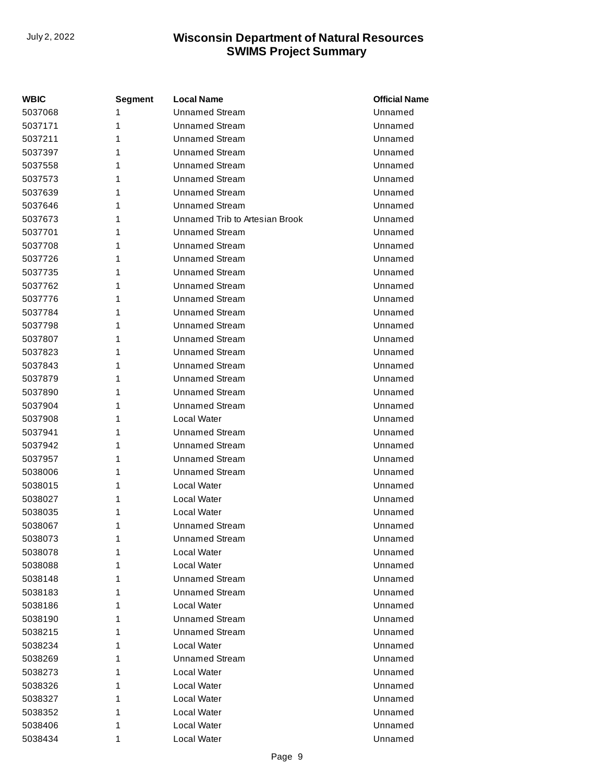| <b>WBIC</b> | <b>Segment</b> | <b>Local Name</b>              | <b>Official Name</b> |
|-------------|----------------|--------------------------------|----------------------|
| 5037068     | 1              | <b>Unnamed Stream</b>          | Unnamed              |
| 5037171     | 1              | <b>Unnamed Stream</b>          | Unnamed              |
| 5037211     | 1              | <b>Unnamed Stream</b>          | Unnamed              |
| 5037397     | 1              | <b>Unnamed Stream</b>          | Unnamed              |
| 5037558     | 1              | <b>Unnamed Stream</b>          | Unnamed              |
| 5037573     | 1              | <b>Unnamed Stream</b>          | Unnamed              |
| 5037639     | 1              | <b>Unnamed Stream</b>          | Unnamed              |
| 5037646     | 1              | <b>Unnamed Stream</b>          | Unnamed              |
| 5037673     | 1              | Unnamed Trib to Artesian Brook | Unnamed              |
| 5037701     | 1              | <b>Unnamed Stream</b>          | Unnamed              |
| 5037708     | 1              | <b>Unnamed Stream</b>          | Unnamed              |
| 5037726     | 1              | <b>Unnamed Stream</b>          | Unnamed              |
| 5037735     | 1              | <b>Unnamed Stream</b>          | Unnamed              |
| 5037762     | 1              | <b>Unnamed Stream</b>          | Unnamed              |
| 5037776     | 1              | <b>Unnamed Stream</b>          | Unnamed              |
| 5037784     | 1              | <b>Unnamed Stream</b>          | Unnamed              |
| 5037798     | 1              | <b>Unnamed Stream</b>          | Unnamed              |
| 5037807     | 1              | <b>Unnamed Stream</b>          | Unnamed              |
| 5037823     | 1              | <b>Unnamed Stream</b>          | Unnamed              |
| 5037843     | 1              | <b>Unnamed Stream</b>          | Unnamed              |
| 5037879     | 1              | <b>Unnamed Stream</b>          | Unnamed              |
| 5037890     | 1              | <b>Unnamed Stream</b>          | Unnamed              |
| 5037904     | 1              | <b>Unnamed Stream</b>          | Unnamed              |
| 5037908     | 1              | Local Water                    | Unnamed              |
| 5037941     | 1              | <b>Unnamed Stream</b>          | Unnamed              |
| 5037942     | 1              | <b>Unnamed Stream</b>          | Unnamed              |
| 5037957     | 1              | <b>Unnamed Stream</b>          | Unnamed              |
| 5038006     | 1              | <b>Unnamed Stream</b>          | Unnamed              |
| 5038015     | 1              | Local Water                    | Unnamed              |
| 5038027     | 1              | Local Water                    | Unnamed              |
| 5038035     | 1              | Local Water                    | Unnamed              |
| 5038067     | 1              | <b>Unnamed Stream</b>          | Unnamed              |
| 5038073     | 1              | <b>Unnamed Stream</b>          | Unnamed              |
| 5038078     | 1              | Local Water                    | Unnamed              |
| 5038088     | 1              | Local Water                    | Unnamed              |
| 5038148     | 1              | <b>Unnamed Stream</b>          | Unnamed              |
| 5038183     | 1              | <b>Unnamed Stream</b>          | Unnamed              |
| 5038186     | 1              | Local Water                    | Unnamed              |
| 5038190     | 1              | <b>Unnamed Stream</b>          | Unnamed              |
| 5038215     | 1              | Unnamed Stream                 | Unnamed              |
| 5038234     | 1              | Local Water                    | Unnamed              |
| 5038269     | 1              | <b>Unnamed Stream</b>          | Unnamed              |
| 5038273     | 1              | Local Water                    | Unnamed              |
| 5038326     | 1              | Local Water                    | Unnamed              |
| 5038327     | 1              | Local Water                    | Unnamed              |
| 5038352     | 1              | Local Water                    | Unnamed              |
| 5038406     | 1              | Local Water                    | Unnamed              |
| 5038434     | 1              | Local Water                    | Unnamed              |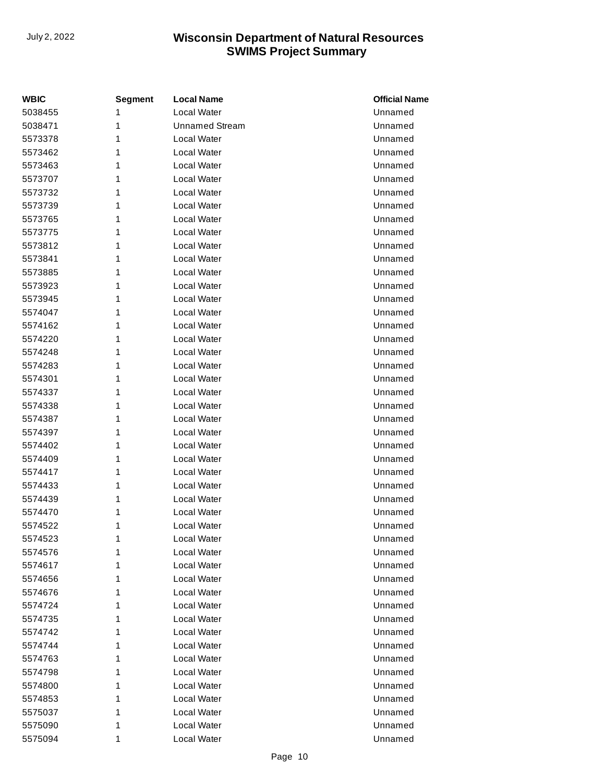| <b>WBIC</b> | <b>Segment</b> | <b>Local Name</b>     | <b>Official Name</b> |
|-------------|----------------|-----------------------|----------------------|
| 5038455     | 1              | Local Water           | Unnamed              |
| 5038471     | 1              | <b>Unnamed Stream</b> | Unnamed              |
| 5573378     | 1              | Local Water           | Unnamed              |
| 5573462     | 1              | Local Water           | Unnamed              |
| 5573463     | 1              | Local Water           | Unnamed              |
| 5573707     | 1              | Local Water           | Unnamed              |
| 5573732     | 1              | Local Water           | Unnamed              |
| 5573739     | 1              | Local Water           | Unnamed              |
| 5573765     | 1              | Local Water           | Unnamed              |
| 5573775     | 1              | Local Water           | Unnamed              |
| 5573812     | 1              | Local Water           | Unnamed              |
| 5573841     | 1              | Local Water           | Unnamed              |
| 5573885     | 1              | Local Water           | Unnamed              |
| 5573923     | 1              | Local Water           | Unnamed              |
| 5573945     | 1              | Local Water           | Unnamed              |
| 5574047     | 1              | Local Water           | Unnamed              |
| 5574162     | 1              | Local Water           | Unnamed              |
| 5574220     | 1              | Local Water           | Unnamed              |
| 5574248     | 1              | Local Water           | Unnamed              |
| 5574283     | 1              | Local Water           | Unnamed              |
| 5574301     | 1              | Local Water           | Unnamed              |
| 5574337     | 1              | Local Water           | Unnamed              |
| 5574338     | 1              | Local Water           | Unnamed              |
| 5574387     | 1              | Local Water           | Unnamed              |
| 5574397     | 1              | Local Water           | Unnamed              |
| 5574402     | 1              | Local Water           | Unnamed              |
| 5574409     | 1              | Local Water           | Unnamed              |
| 5574417     | 1              | Local Water           | Unnamed              |
| 5574433     | 1              | Local Water           | Unnamed              |
| 5574439     | 1              | Local Water           | Unnamed              |
| 5574470     | 1              | Local Water           | Unnamed              |
| 5574522     | 1              | Local Water           | Unnamed              |
| 5574523     | 1              | Local Water           | Unnamed              |
| 5574576     | 1              | Local Water           | Unnamed              |
| 5574617     | 1              | Local Water           | Unnamed              |
| 5574656     | 1              | Local Water           | Unnamed              |
| 5574676     | 1              | Local Water           | Unnamed              |
| 5574724     | 1              | Local Water           | Unnamed              |
| 5574735     | 1              | Local Water           | Unnamed              |
| 5574742     | 1              | Local Water           | Unnamed              |
| 5574744     | 1              | Local Water           | Unnamed              |
| 5574763     | 1              | Local Water           | Unnamed              |
| 5574798     | 1              | Local Water           | Unnamed              |
| 5574800     | 1              | Local Water           | Unnamed              |
| 5574853     | 1              | Local Water           | Unnamed              |
| 5575037     | 1              | Local Water           | Unnamed              |
| 5575090     | 1              | Local Water           | Unnamed              |
| 5575094     | 1              | Local Water           | Unnamed              |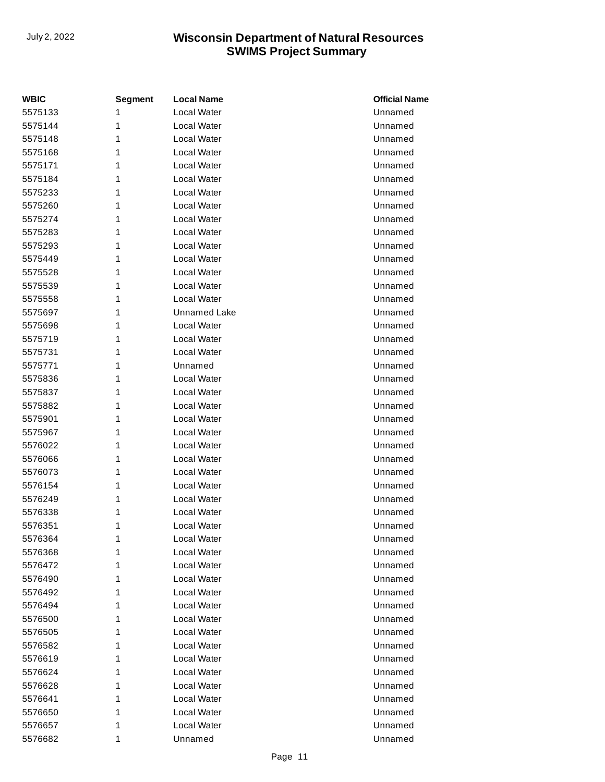| <b>WBIC</b> | <b>Segment</b> | <b>Local Name</b>   | <b>Official Name</b> |
|-------------|----------------|---------------------|----------------------|
| 5575133     | 1              | Local Water         | Unnamed              |
| 5575144     | 1              | Local Water         | Unnamed              |
| 5575148     | 1              | Local Water         | Unnamed              |
| 5575168     | 1              | Local Water         | Unnamed              |
| 5575171     | 1              | Local Water         | Unnamed              |
| 5575184     | 1              | Local Water         | Unnamed              |
| 5575233     | 1              | Local Water         | Unnamed              |
| 5575260     | 1              | Local Water         | Unnamed              |
| 5575274     | 1              | Local Water         | Unnamed              |
| 5575283     | 1              | Local Water         | Unnamed              |
| 5575293     | 1              | Local Water         | Unnamed              |
| 5575449     | 1              | Local Water         | Unnamed              |
| 5575528     | 1              | Local Water         | Unnamed              |
| 5575539     | 1              | Local Water         | Unnamed              |
| 5575558     | 1              | Local Water         | Unnamed              |
| 5575697     | 1              | <b>Unnamed Lake</b> | Unnamed              |
| 5575698     | 1              | Local Water         | Unnamed              |
| 5575719     | 1              | Local Water         | Unnamed              |
| 5575731     | 1              | Local Water         | Unnamed              |
| 5575771     | 1              | Unnamed             | Unnamed              |
| 5575836     | 1              | Local Water         | Unnamed              |
| 5575837     | 1              | Local Water         | Unnamed              |
| 5575882     | 1              | Local Water         | Unnamed              |
| 5575901     | 1              | Local Water         | Unnamed              |
| 5575967     | 1              | Local Water         | Unnamed              |
| 5576022     | 1              | Local Water         | Unnamed              |
| 5576066     | 1              | Local Water         | Unnamed              |
| 5576073     | 1              | Local Water         | Unnamed              |
| 5576154     | 1              | Local Water         | Unnamed              |
| 5576249     | 1              | Local Water         | Unnamed              |
| 5576338     | 1              | Local Water         | Unnamed              |
| 5576351     | 1              | Local Water         | Unnamed              |
| 5576364     | 1              | Local Water         | Unnamed              |
| 5576368     | 1              | Local Water         | Unnamed              |
| 5576472     | 1              | Local Water         | Unnamed              |
| 5576490     | 1              | Local Water         | Unnamed              |
| 5576492     | 1              | Local Water         | Unnamed              |
| 5576494     | 1              | Local Water         | Unnamed              |
| 5576500     | 1              | Local Water         | Unnamed              |
| 5576505     | 1              | Local Water         | Unnamed              |
| 5576582     | 1              | Local Water         | Unnamed              |
| 5576619     | 1              | Local Water         | Unnamed              |
| 5576624     | 1              | Local Water         | Unnamed              |
| 5576628     | 1              | Local Water         | Unnamed              |
| 5576641     | 1              | Local Water         | Unnamed              |
| 5576650     | 1              | Local Water         | Unnamed              |
| 5576657     | 1              | Local Water         | Unnamed              |
| 5576682     | 1              | Unnamed             | Unnamed              |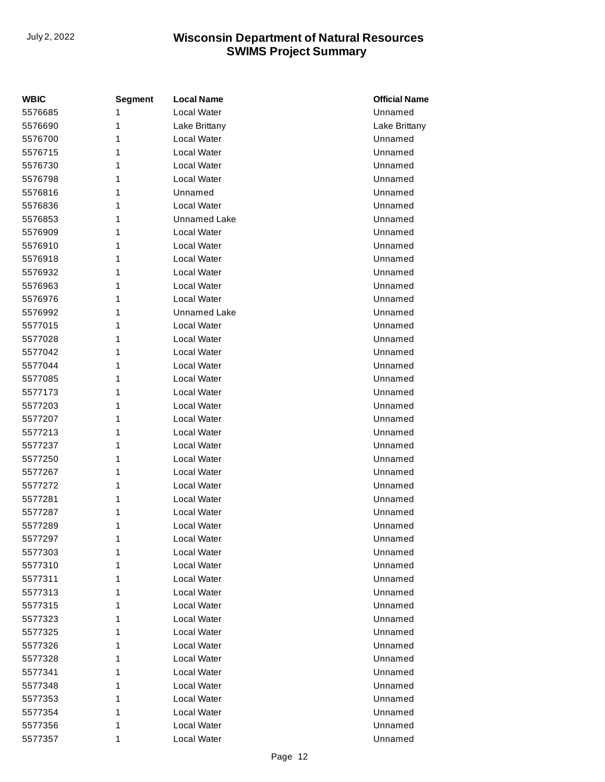| <b>WBIC</b> | <b>Segment</b> | <b>Local Name</b>   | <b>Official Name</b> |
|-------------|----------------|---------------------|----------------------|
| 5576685     | 1              | Local Water         | Unnamed              |
| 5576690     | 1              | Lake Brittany       | Lake Brittany        |
| 5576700     | 1              | Local Water         | Unnamed              |
| 5576715     | 1              | <b>Local Water</b>  | Unnamed              |
| 5576730     | 1              | Local Water         | Unnamed              |
| 5576798     | 1              | Local Water         | Unnamed              |
| 5576816     | 1              | Unnamed             | Unnamed              |
| 5576836     | 1              | Local Water         | Unnamed              |
| 5576853     | 1              | <b>Unnamed Lake</b> | Unnamed              |
| 5576909     | 1              | Local Water         | Unnamed              |
| 5576910     | 1              | Local Water         | Unnamed              |
| 5576918     | 1              | <b>Local Water</b>  | Unnamed              |
| 5576932     | 1              | Local Water         | Unnamed              |
| 5576963     | 1              | <b>Local Water</b>  | Unnamed              |
| 5576976     | 1              | Local Water         | Unnamed              |
| 5576992     | 1              | <b>Unnamed Lake</b> | Unnamed              |
| 5577015     | 1              | Local Water         | Unnamed              |
| 5577028     | 1              | <b>Local Water</b>  | Unnamed              |
| 5577042     | 1              | Local Water         | Unnamed              |
| 5577044     | 1              | Local Water         | Unnamed              |
| 5577085     | 1              | Local Water         | Unnamed              |
| 5577173     | 1              | <b>Local Water</b>  | Unnamed              |
| 5577203     | 1              | Local Water         | Unnamed              |
| 5577207     | 1              | <b>Local Water</b>  | Unnamed              |
| 5577213     | 1              | Local Water         | Unnamed              |
| 5577237     | 1              | <b>Local Water</b>  | Unnamed              |
| 5577250     | 1              | Local Water         | Unnamed              |
| 5577267     | 1              | <b>Local Water</b>  | Unnamed              |
| 5577272     | 1              | Local Water         | Unnamed              |
| 5577281     | 1              | <b>Local Water</b>  | Unnamed              |
| 5577287     | 1              | Local Water         | Unnamed              |
| 5577289     | 1              | Local Water         | Unnamed              |
| 5577297     | 1              | Local Water         | Unnamed              |
| 5577303     | 1              | <b>Local Water</b>  | Unnamed              |
| 5577310     | 1              | Local Water         | Unnamed              |
| 5577311     | 1              | Local Water         | Unnamed              |
| 5577313     | 1              | Local Water         | Unnamed              |
| 5577315     | 1              | Local Water         | Unnamed              |
| 5577323     | 1              | Local Water         | Unnamed              |
| 5577325     | 1              | Local Water         | Unnamed              |
| 5577326     | 1              | Local Water         | Unnamed              |
| 5577328     | 1              | Local Water         | Unnamed              |
| 5577341     | 1              | Local Water         | Unnamed              |
| 5577348     | 1              | Local Water         | Unnamed              |
| 5577353     | 1              | Local Water         | Unnamed              |
| 5577354     | 1              | Local Water         | Unnamed              |
| 5577356     | 1              | Local Water         | Unnamed              |
| 5577357     | 1              | Local Water         | Unnamed              |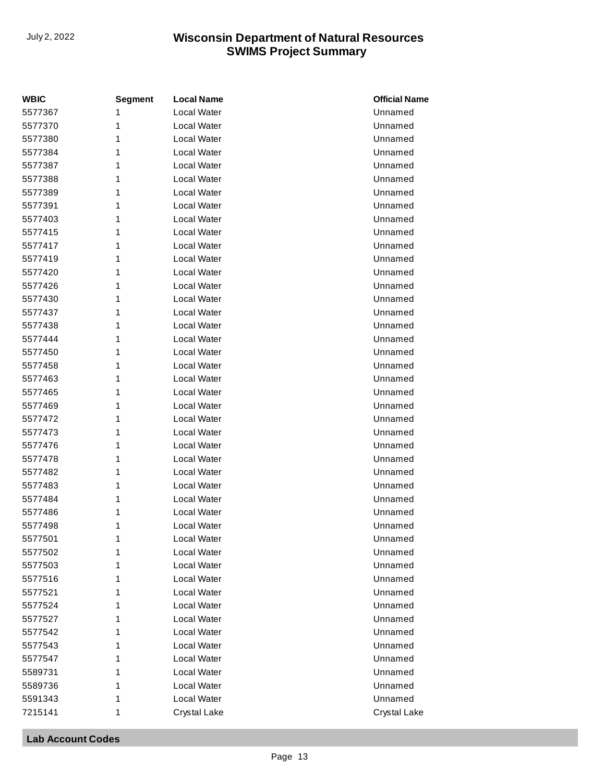| <b>WBIC</b> | <b>Segment</b> | <b>Local Name</b>  | <b>Official Name</b> |
|-------------|----------------|--------------------|----------------------|
| 5577367     | 1              | Local Water        | Unnamed              |
| 5577370     | 1              | Local Water        | Unnamed              |
| 5577380     | 1              | Local Water        | Unnamed              |
| 5577384     | 1              | Local Water        | Unnamed              |
| 5577387     | 1              | Local Water        | Unnamed              |
| 5577388     | 1              | Local Water        | Unnamed              |
| 5577389     | 1              | Local Water        | Unnamed              |
| 5577391     | 1              | Local Water        | Unnamed              |
| 5577403     | 1              | Local Water        | Unnamed              |
| 5577415     | 1              | Local Water        | Unnamed              |
| 5577417     | 1              | Local Water        | Unnamed              |
| 5577419     | 1              | Local Water        | Unnamed              |
| 5577420     | 1              | Local Water        | Unnamed              |
| 5577426     | 1              | Local Water        | Unnamed              |
| 5577430     | 1              | Local Water        | Unnamed              |
| 5577437     | 1              | Local Water        | Unnamed              |
| 5577438     | 1              | Local Water        | Unnamed              |
| 5577444     | 1              | Local Water        | Unnamed              |
| 5577450     | 1              | Local Water        | Unnamed              |
| 5577458     | 1              | <b>Local Water</b> | Unnamed              |
| 5577463     | 1              | Local Water        | Unnamed              |
| 5577465     | 1              | Local Water        | Unnamed              |
| 5577469     | 1              | Local Water        | Unnamed              |
| 5577472     | 1              | Local Water        | Unnamed              |
| 5577473     | 1              | Local Water        | Unnamed              |
| 5577476     | 1              | Local Water        | Unnamed              |
| 5577478     | 1              | Local Water        | Unnamed              |
| 5577482     | 1              | Local Water        | Unnamed              |
| 5577483     | 1              | Local Water        | Unnamed              |
| 5577484     | 1              | Local Water        | Unnamed              |
| 5577486     | 1              | Local Water        | Unnamed              |
| 5577498     | 1              | Local Water        | Unnamed              |
| 5577501     | 1              | Local Water        | Unnamed              |
| 5577502     | 1              | Local Water        | Unnamed              |
| 5577503     | 1              | Local Water        | Unnamed              |
| 5577516     | 1              | <b>Local Water</b> | Unnamed              |
| 5577521     | 1              | Local Water        | Unnamed              |
| 5577524     | 1              | Local Water        | Unnamed              |
| 5577527     | 1              | Local Water        | Unnamed              |
| 5577542     | 1              | Local Water        | Unnamed              |
| 5577543     | 1              | Local Water        | Unnamed              |
| 5577547     | 1              | Local Water        | Unnamed              |
| 5589731     | 1              | Local Water        | Unnamed              |
| 5589736     | 1              | <b>Local Water</b> | Unnamed              |
| 5591343     | 1              | Local Water        | Unnamed              |
| 7215141     | 1              | Crystal Lake       | Crystal Lake         |

#### **Lab Account Codes**